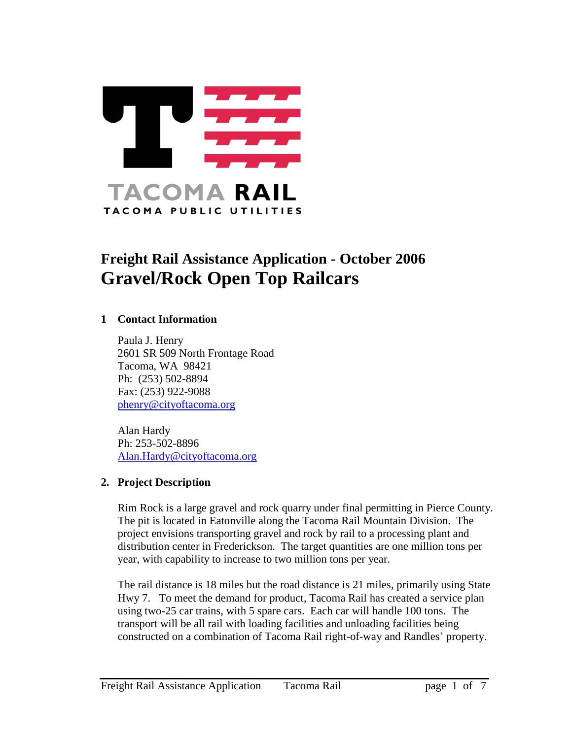

# **Freight Rail Assistance Application - October 2006 Gravel/Rock Open Top Railcars**

#### **1 Contact Information**

Paula J. Henry 2601 SR 509 North Frontage Road Tacoma, WA 98421 Ph: (253) 502-8894 Fax: (253) 922-9088 [phenry@cityoftacoma.org](mailto:phenry@cityoftacoma.org)

Alan Hardy Ph: 253-502-8896 [Alan.Hardy@cityoftacoma.org](mailto:Alan.Hardy@cityoftacoma.org)

#### **2. Project Description**

Rim Rock is a large gravel and rock quarry under final permitting in Pierce County. The pit is located in Eatonville along the Tacoma Rail Mountain Division. The project envisions transporting gravel and rock by rail to a processing plant and distribution center in Frederickson. The target quantities are one million tons per year, with capability to increase to two million tons per year.

The rail distance is 18 miles but the road distance is 21 miles, primarily using State Hwy 7. To meet the demand for product, Tacoma Rail has created a service plan using two-25 car trains, with 5 spare cars. Each car will handle 100 tons. The transport will be all rail with loading facilities and unloading facilities being constructed on a combination of Tacoma Rail right-of-way and Randles' property.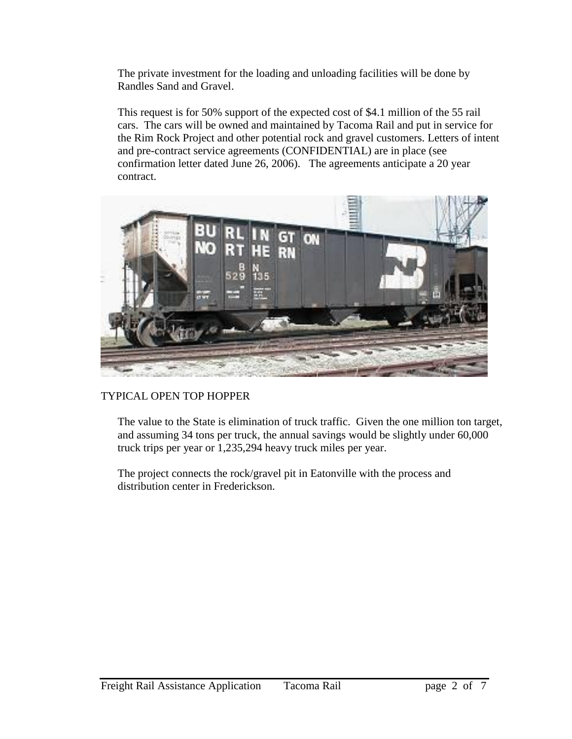The private investment for the loading and unloading facilities will be done by Randles Sand and Gravel.

This request is for 50% support of the expected cost of \$4.1 million of the 55 rail cars. The cars will be owned and maintained by Tacoma Rail and put in service for the Rim Rock Project and other potential rock and gravel customers. Letters of intent and pre-contract service agreements (CONFIDENTIAL) are in place (see confirmation letter dated June 26, 2006). The agreements anticipate a 20 year contract.



#### TYPICAL OPEN TOP HOPPER

The value to the State is elimination of truck traffic. Given the one million ton target, and assuming 34 tons per truck, the annual savings would be slightly under 60,000 truck trips per year or 1,235,294 heavy truck miles per year.

The project connects the rock/gravel pit in Eatonville with the process and distribution center in Frederickson.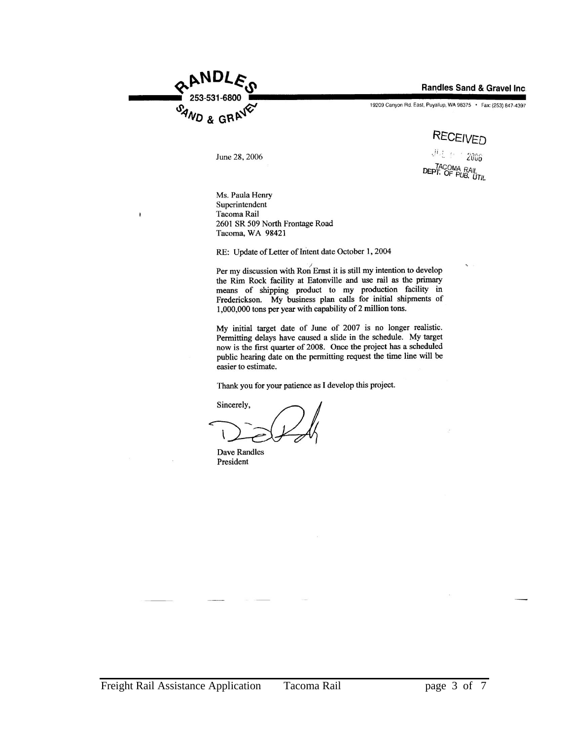

Randles Sand & Gravel Inc.

19209 Canyon Rd. East, Puyallup, WA 98375 . Fax: (253) 847-4397

## **RECEIVED**

June 28, 2006

ان وي المطل 2006 DEPT. OF PUB. UTIL

Ms. Paula Henry Superintendent Tacoma Rail 2601 SR 509 North Frontage Road Tacoma, WA 98421

RE: Update of Letter of Intent date October 1, 2004

Per my discussion with Ron Ernst it is still my intention to develop the Rim Rock facility at Eatonville and use rail as the primary means of shipping product to my production facility in Frederickson. My business plan calls for initial shipments of 1,000,000 tons per year with capability of 2 million tons.

My initial target date of June of 2007 is no longer realistic. Permitting delays have caused a slide in the schedule. My target now is the first quarter of 2008. Once the project has a scheduled public hearing date on the permitting request the time line will be easier to estimate.

Thank you for your patience as I develop this project.

Sincerely,

**Dave Randles** President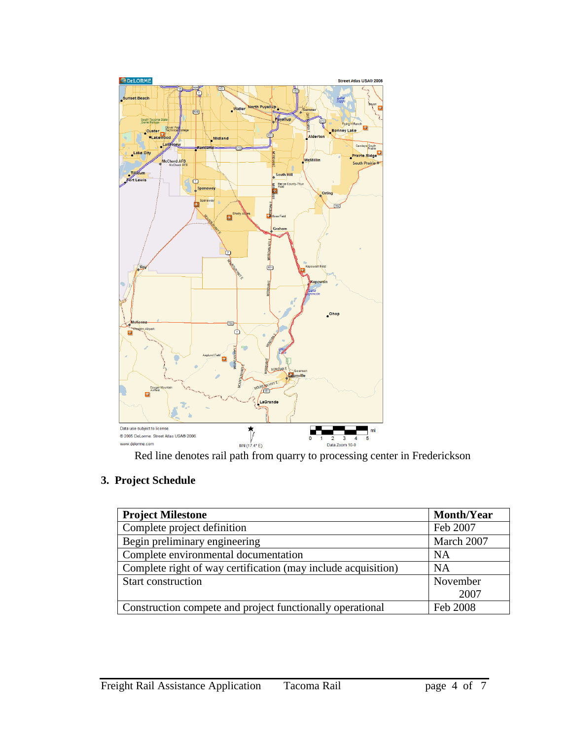

### **3. Project Schedule**

| <b>Project Milestone</b>                                      | <b>Month/Year</b> |
|---------------------------------------------------------------|-------------------|
| Complete project definition                                   | Feb 2007          |
| Begin preliminary engineering                                 | March 2007        |
| Complete environmental documentation                          | <b>NA</b>         |
| Complete right of way certification (may include acquisition) | <b>NA</b>         |
| <b>Start construction</b>                                     | November          |
|                                                               | 2007              |
| Construction compete and project functionally operational     | Feb 2008          |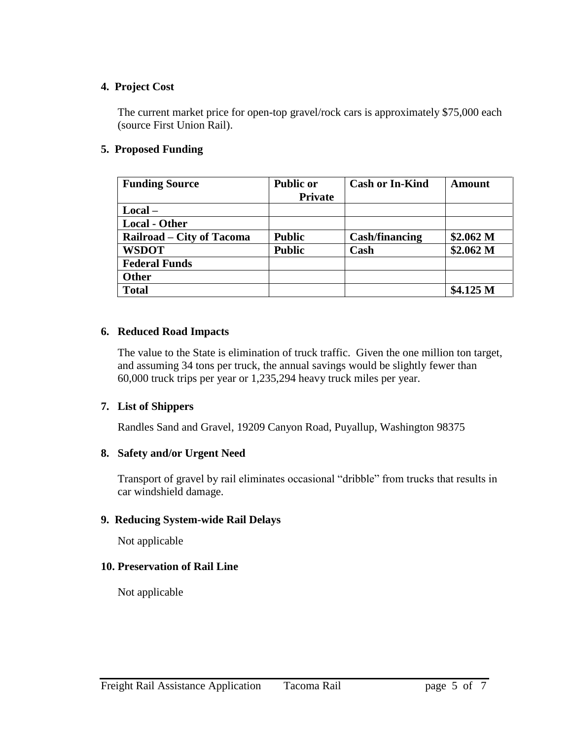#### **4. Project Cost**

The current market price for open-top gravel/rock cars is approximately \$75,000 each (source First Union Rail).

#### **5. Proposed Funding**

| <b>Funding Source</b>     | <b>Public or</b> | <b>Cash or In-Kind</b> | Amount               |
|---------------------------|------------------|------------------------|----------------------|
|                           | <b>Private</b>   |                        |                      |
| $Local -$                 |                  |                        |                      |
| <b>Local - Other</b>      |                  |                        |                      |
| Railroad – City of Tacoma | <b>Public</b>    | <b>Cash/financing</b>  | \$2.062 <sub>M</sub> |
| <b>WSDOT</b>              | <b>Public</b>    | Cash                   | \$2.062 <sub>M</sub> |
| <b>Federal Funds</b>      |                  |                        |                      |
| Other                     |                  |                        |                      |
| <b>Total</b>              |                  |                        | \$4.125 M            |

#### **6. Reduced Road Impacts**

The value to the State is elimination of truck traffic. Given the one million ton target, and assuming 34 tons per truck, the annual savings would be slightly fewer than 60,000 truck trips per year or 1,235,294 heavy truck miles per year.

#### **7. List of Shippers**

Randles Sand and Gravel, 19209 Canyon Road, Puyallup, Washington 98375

#### **8. Safety and/or Urgent Need**

Transport of gravel by rail eliminates occasional "dribble" from trucks that results in car windshield damage.

#### **9. Reducing System-wide Rail Delays**

Not applicable

#### **10. Preservation of Rail Line**

Not applicable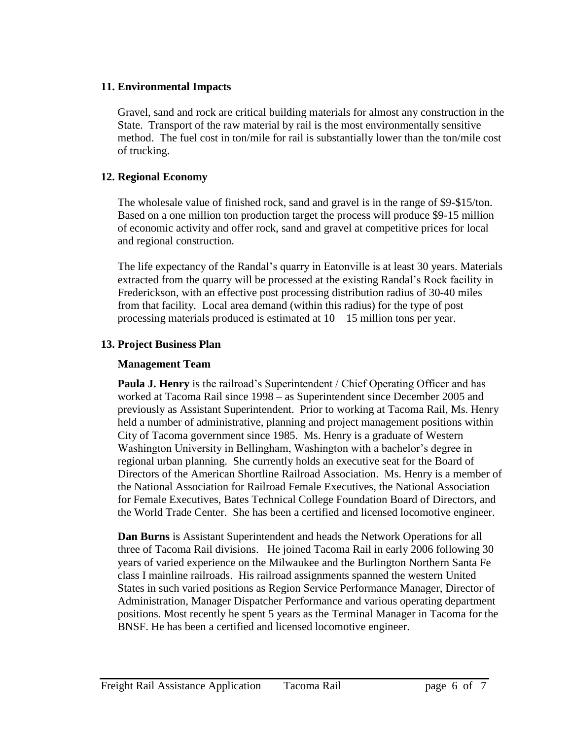#### **11. Environmental Impacts**

Gravel, sand and rock are critical building materials for almost any construction in the State. Transport of the raw material by rail is the most environmentally sensitive method. The fuel cost in ton/mile for rail is substantially lower than the ton/mile cost of trucking.

#### **12. Regional Economy**

The wholesale value of finished rock, sand and gravel is in the range of \$9-\$15/ton. Based on a one million ton production target the process will produce \$9-15 million of economic activity and offer rock, sand and gravel at competitive prices for local and regional construction.

The life expectancy of the Randal's quarry in Eatonville is at least 30 years. Materials extracted from the quarry will be processed at the existing Randal's Rock facility in Frederickson, with an effective post processing distribution radius of 30-40 miles from that facility. Local area demand (within this radius) for the type of post processing materials produced is estimated at 10 – 15 million tons per year.

#### **13. Project Business Plan**

#### **Management Team**

**Paula J. Henry** is the railroad's Superintendent / Chief Operating Officer and has worked at Tacoma Rail since 1998 – as Superintendent since December 2005 and previously as Assistant Superintendent. Prior to working at Tacoma Rail, Ms. Henry held a number of administrative, planning and project management positions within City of Tacoma government since 1985. Ms. Henry is a graduate of Western Washington University in Bellingham, Washington with a bachelor's degree in regional urban planning. She currently holds an executive seat for the Board of Directors of the American Shortline Railroad Association. Ms. Henry is a member of the National Association for Railroad Female Executives, the National Association for Female Executives, Bates Technical College Foundation Board of Directors, and the World Trade Center. She has been a certified and licensed locomotive engineer.

**Dan Burns** is Assistant Superintendent and heads the Network Operations for all three of Tacoma Rail divisions. He joined Tacoma Rail in early 2006 following 30 years of varied experience on the Milwaukee and the Burlington Northern Santa Fe class I mainline railroads. His railroad assignments spanned the western United States in such varied positions as Region Service Performance Manager, Director of Administration, Manager Dispatcher Performance and various operating department positions. Most recently he spent 5 years as the Terminal Manager in Tacoma for the BNSF. He has been a certified and licensed locomotive engineer.